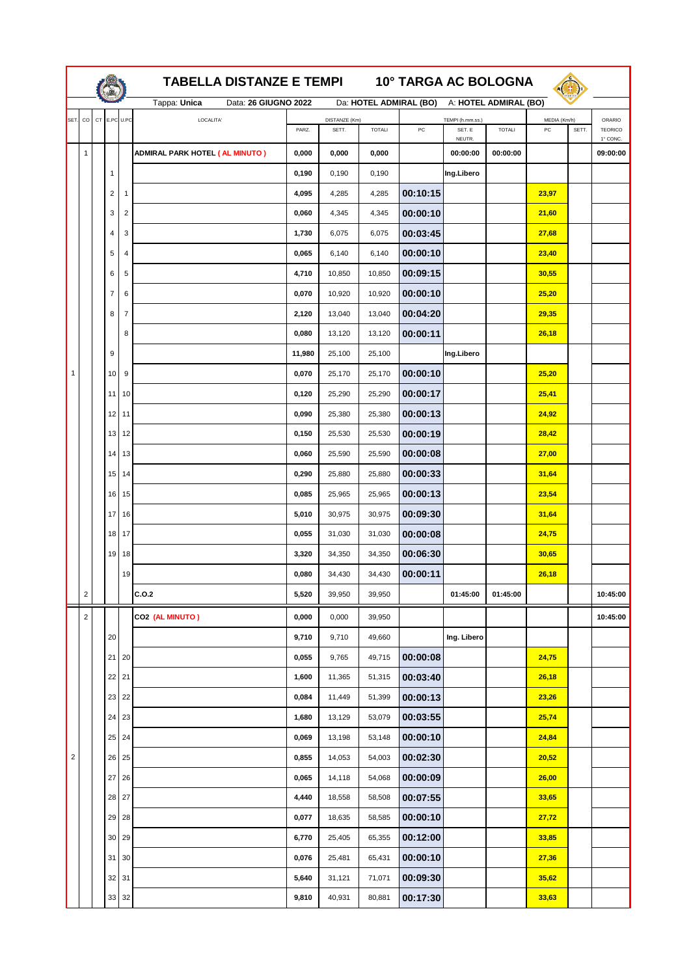|                         |                |                |                | <b>TABELLA DISTANZE E TEMPI</b><br><b>10° TARGA AC BOLOGNA</b> |                                           |        |            |                                                |                       |                               |       |                                             |          |
|-------------------------|----------------|----------------|----------------|----------------------------------------------------------------|-------------------------------------------|--------|------------|------------------------------------------------|-----------------------|-------------------------------|-------|---------------------------------------------|----------|
|                         |                |                |                | Tappa: Unica<br>Data: 26 GIUGNO 2022                           | Da: HOTEL ADMIRAL (BO)                    |        |            |                                                | A: HOTEL ADMIRAL (BO) |                               |       |                                             |          |
| SET.                    | $_{\rm CO}$    | CT E.PC U.PC   |                | LOCALITA'                                                      | DISTANZE (Km)<br>SETT.<br>PARZ.<br>TOTALI |        | ${\sf PC}$ | TEMPI (h.mm.ss.)<br>SET. E<br>TOTALI<br>NEUTR. |                       | MEDIA (Km/h)<br>$PC$<br>SETT. |       | <b>ORARIO</b><br><b>TEORICO</b><br>1° CONC. |          |
| 1                       |                |                |                | <b>ADMIRAL PARK HOTEL ( AL MINUTO )</b>                        | 0,000                                     | 0,000  | 0,000      |                                                | 00:00:00              | 00:00:00                      |       |                                             | 09:00:00 |
|                         |                | $\mathbf{1}$   |                |                                                                | 0,190                                     | 0,190  | 0,190      |                                                | Ing.Libero            |                               |       |                                             |          |
|                         |                | $\overline{c}$ | 1              |                                                                | 4,095                                     | 4,285  | 4,285      | 00:10:15                                       |                       |                               | 23,97 |                                             |          |
|                         |                | 3              | $\overline{2}$ |                                                                | 0,060                                     | 4,345  | 4,345      | 00:00:10                                       |                       |                               | 21,60 |                                             |          |
|                         |                | 4              | 3              |                                                                | 1,730                                     | 6,075  | 6,075      | 00:03:45                                       |                       |                               | 27,68 |                                             |          |
|                         |                | 5              | 4              |                                                                | 0,065                                     | 6,140  | 6,140      | 00:00:10                                       |                       |                               | 23,40 |                                             |          |
|                         |                | 6              | 5              |                                                                | 4,710                                     | 10,850 | 10,850     | 00:09:15                                       |                       |                               | 30,55 |                                             |          |
|                         |                | $\overline{7}$ | 6              |                                                                | 0,070                                     | 10,920 | 10,920     | 00:00:10                                       |                       |                               | 25,20 |                                             |          |
|                         |                | 8              | $\overline{7}$ |                                                                | 2,120                                     | 13,040 | 13,040     | 00:04:20                                       |                       |                               | 29,35 |                                             |          |
|                         |                |                | 8              |                                                                | 0,080                                     | 13,120 | 13,120     | 00:00:11                                       |                       |                               | 26,18 |                                             |          |
|                         |                | 9              |                |                                                                | 11,980                                    | 25,100 | 25,100     |                                                | Ing.Libero            |                               |       |                                             |          |
| 1                       |                | 10             | 9              |                                                                | 0,070                                     | 25,170 | 25,170     | 00:00:10                                       |                       |                               | 25,20 |                                             |          |
|                         |                | 11             | 10             |                                                                | 0,120                                     | 25,290 | 25,290     | 00:00:17                                       |                       |                               | 25,41 |                                             |          |
|                         |                | 12 11          |                |                                                                | 0,090                                     | 25,380 | 25,380     | 00:00:13                                       |                       |                               | 24,92 |                                             |          |
|                         |                | 13             | 12             |                                                                | 0,150                                     | 25,530 | 25,530     | 00:00:19                                       |                       |                               | 28,42 |                                             |          |
|                         |                | 14             | 13             |                                                                | 0,060                                     | 25,590 | 25,590     | 00:00:08                                       |                       |                               | 27,00 |                                             |          |
|                         |                | 15             | 14             |                                                                | 0,290                                     | 25,880 | 25,880     | 00:00:33                                       |                       |                               | 31,64 |                                             |          |
|                         |                | 16             | 15             |                                                                | 0,085                                     | 25,965 | 25,965     | 00:00:13                                       |                       |                               | 23,54 |                                             |          |
|                         |                | 17 16          |                |                                                                | 5,010                                     | 30,975 | 30,975     | 00:09:30                                       |                       |                               | 31,64 |                                             |          |
|                         |                | 18             | 17             |                                                                | 0,055                                     | 31,030 | 31,030     | 00:00:08                                       |                       |                               | 24,75 |                                             |          |
|                         |                | 19             | 18             |                                                                | 3,320                                     | 34,350 | 34,350     | 00:06:30                                       |                       |                               | 30,65 |                                             |          |
|                         |                |                | 19             |                                                                | 0,080                                     | 34,430 | 34,430     | 00:00:11                                       |                       |                               | 26,18 |                                             |          |
|                         | $\overline{c}$ |                |                | C.O.2                                                          | 5,520                                     | 39,950 | 39,950     |                                                | 01:45:00              | 01:45:00                      |       |                                             | 10:45:00 |
|                         | $\sqrt{2}$     |                |                | CO2 (AL MINUTO)                                                | 0,000                                     | 0,000  | 39,950     |                                                |                       |                               |       |                                             | 10:45:00 |
|                         |                | 20             |                |                                                                | 9,710                                     | 9,710  | 49,660     |                                                | Ing. Libero           |                               |       |                                             |          |
|                         |                | 21             | 20             |                                                                | 0,055                                     | 9,765  | 49,715     | 00:00:08                                       |                       |                               | 24,75 |                                             |          |
|                         |                | 22 21          |                |                                                                | 1,600                                     | 11,365 | 51,315     | 00:03:40                                       |                       |                               | 26,18 |                                             |          |
|                         |                | 23             | 22             |                                                                | 0,084                                     | 11,449 | 51,399     | 00:00:13                                       |                       |                               | 23,26 |                                             |          |
|                         |                | 24             | 23             |                                                                | 1,680                                     | 13,129 | 53,079     | 00:03:55                                       |                       |                               | 25,74 |                                             |          |
|                         |                | 25             | 24             |                                                                | 0,069                                     | 13,198 | 53,148     | 00:00:10                                       |                       |                               | 24,84 |                                             |          |
| $\overline{\mathbf{c}}$ |                | 26             | 25             |                                                                | 0,855                                     | 14,053 | 54,003     | 00:02:30                                       |                       |                               | 20,52 |                                             |          |
|                         |                | 27             | 26             |                                                                | 0,065                                     | 14,118 | 54,068     | 00:00:09                                       |                       |                               | 26,00 |                                             |          |
|                         |                | 28             | 27             |                                                                | 4,440                                     | 18,558 | 58,508     | 00:07:55                                       |                       |                               | 33,65 |                                             |          |
|                         |                | 29             | 28             |                                                                | 0,077                                     | 18,635 | 58,585     | 00:00:10                                       |                       |                               | 27,72 |                                             |          |
|                         |                | 30 29          |                |                                                                | 6,770                                     | 25,405 | 65,355     | 00:12:00                                       |                       |                               | 33,85 |                                             |          |
|                         |                | 31             | 30             |                                                                | 0,076                                     | 25,481 | 65,431     | 00:00:10                                       |                       |                               | 27,36 |                                             |          |
|                         |                | 32             | 31             |                                                                | 5,640                                     | 31,121 | 71,071     | 00:09:30                                       |                       |                               | 35,62 |                                             |          |
|                         |                | 33 32          |                |                                                                | 9,810                                     | 40,931 | 80,881     | 00:17:30                                       |                       |                               | 33,63 |                                             |          |